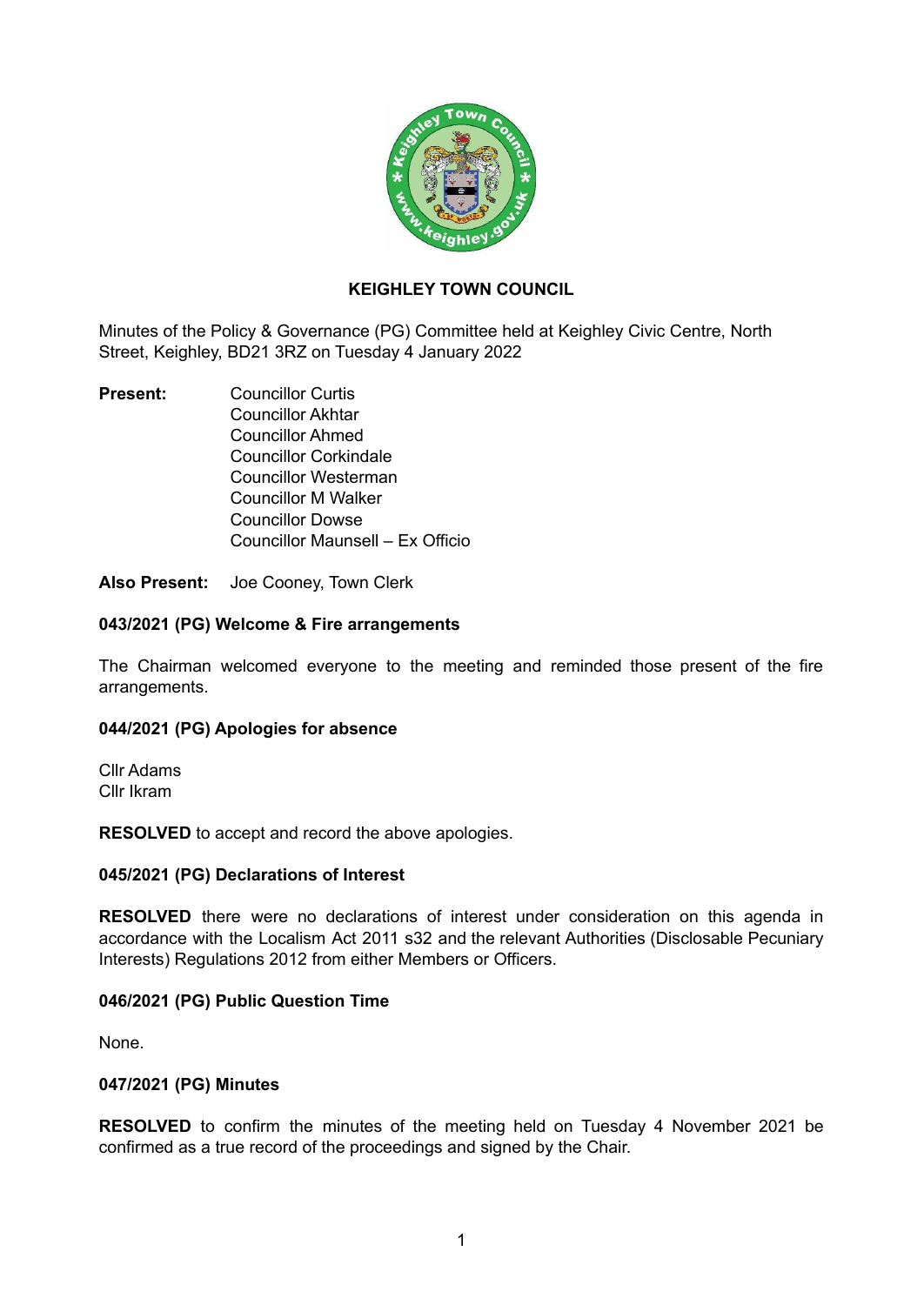

# **KEIGHLEY TOWN COUNCIL**

Minutes of the Policy & Governance (PG) Committee held at Keighley Civic Centre, North Street, Keighley, BD21 3RZ on Tuesday 4 January 2022

**Present:** Councillor Curtis Councillor Akhtar Councillor Ahmed Councillor Corkindale Councillor Westerman Councillor M Walker Councillor Dowse Councillor Maunsell – Ex Officio

**Also Present:** Joe Cooney, Town Clerk

### **043/2021 (PG) Welcome & Fire arrangements**

The Chairman welcomed everyone to the meeting and reminded those present of the fire arrangements.

## **044/2021 (PG) Apologies for absence**

Cllr Adams Cllr Ikram

**RESOLVED** to accept and record the above apologies.

#### **045/2021 (PG) Declarations of Interest**

**RESOLVED** there were no declarations of interest under consideration on this agenda in accordance with the Localism Act 2011 s32 and the relevant Authorities (Disclosable Pecuniary Interests) Regulations 2012 from either Members or Officers.

## **046/2021 (PG) Public Question Time**

None.

#### **047/2021 (PG) Minutes**

**RESOLVED** to confirm the minutes of the meeting held on Tuesday 4 November 2021 be confirmed as a true record of the proceedings and signed by the Chair.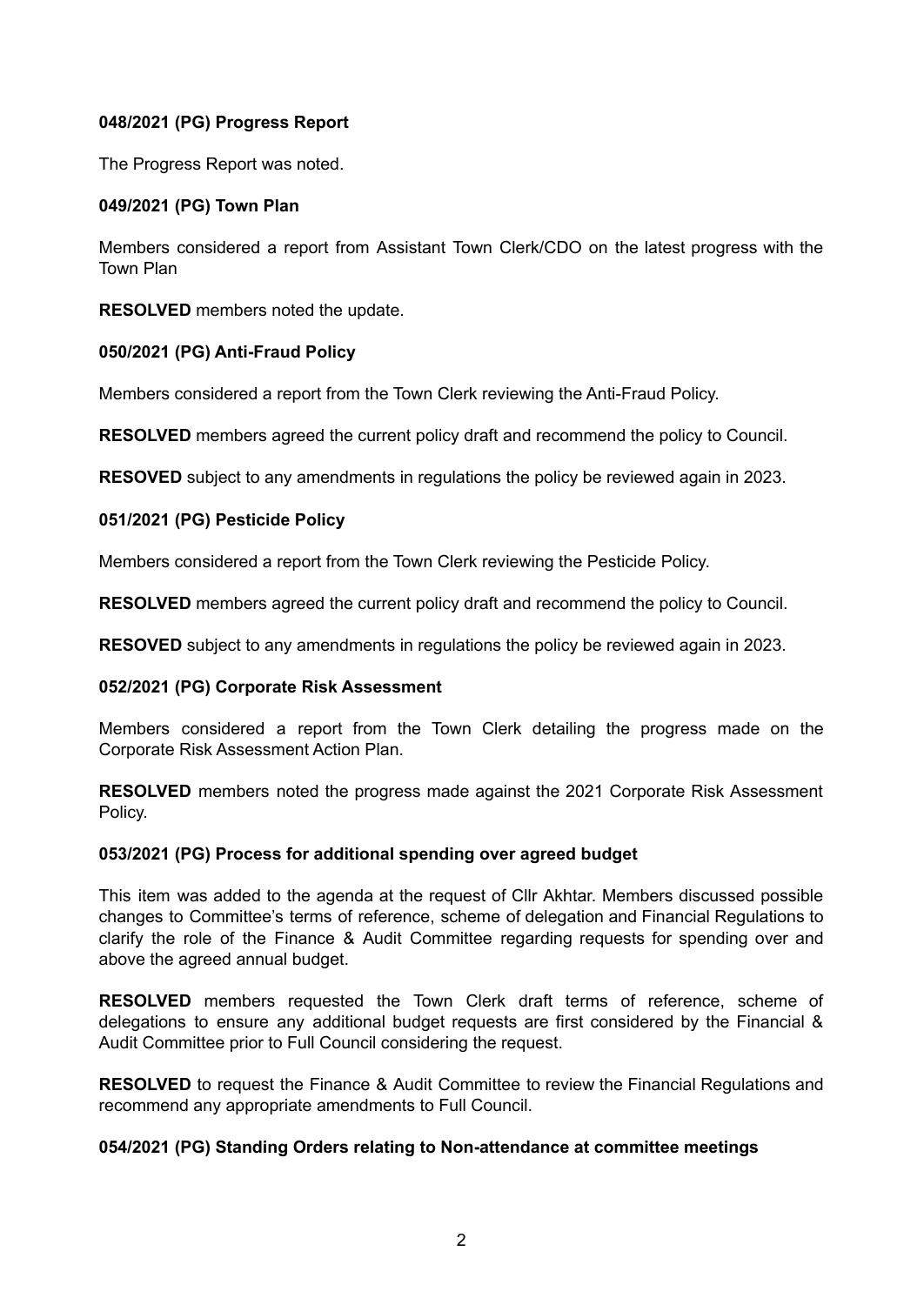# **048/2021 (PG) Progress Report**

The Progress Report was noted.

# **049/2021 (PG) Town Plan**

Members considered a report from Assistant Town Clerk/CDO on the latest progress with the Town Plan

**RESOLVED** members noted the update.

# **050/2021 (PG) Anti-Fraud Policy**

Members considered a report from the Town Clerk reviewing the Anti-Fraud Policy.

**RESOLVED** members agreed the current policy draft and recommend the policy to Council.

**RESOVED** subject to any amendments in regulations the policy be reviewed again in 2023.

# **051/2021 (PG) Pesticide Policy**

Members considered a report from the Town Clerk reviewing the Pesticide Policy.

**RESOLVED** members agreed the current policy draft and recommend the policy to Council.

**RESOVED** subject to any amendments in regulations the policy be reviewed again in 2023.

## **052/2021 (PG) Corporate Risk Assessment**

Members considered a report from the Town Clerk detailing the progress made on the Corporate Risk Assessment Action Plan.

**RESOLVED** members noted the progress made against the 2021 Corporate Risk Assessment Policy.

## **053/2021 (PG) Process for additional spending over agreed budget**

This item was added to the agenda at the request of Cllr Akhtar. Members discussed possible changes to Committee's terms of reference, scheme of delegation and Financial Regulations to clarify the role of the Finance & Audit Committee regarding requests for spending over and above the agreed annual budget.

**RESOLVED** members requested the Town Clerk draft terms of reference, scheme of delegations to ensure any additional budget requests are first considered by the Financial & Audit Committee prior to Full Council considering the request.

**RESOLVED** to request the Finance & Audit Committee to review the Financial Regulations and recommend any appropriate amendments to Full Council.

## **054/2021 (PG) Standing Orders relating to Non-attendance at committee meetings**